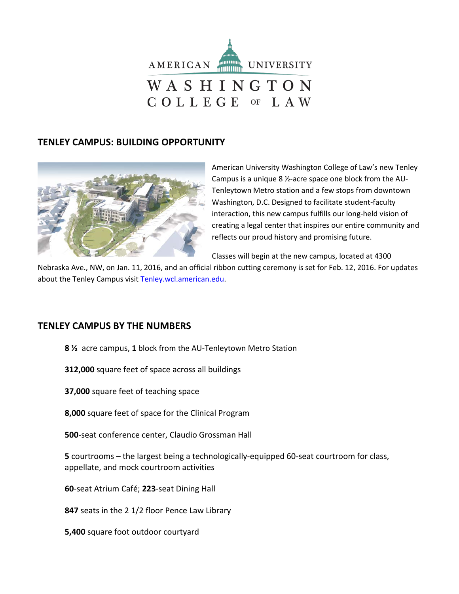

## **TENLEY CAMPUS: BUILDING OPPORTUNITY**



American University Washington College of Law's new Tenley Campus is a unique 8 ½-acre space one block from the AU-Tenleytown Metro station and a few stops from downtown Washington, D.C. Designed to facilitate student-faculty interaction, this new campus fulfills our long-held vision of creating a legal center that inspires our entire community and reflects our proud history and promising future.

Classes will begin at the new campus, located at 4300

Nebraska Ave., NW, on Jan. 11, 2016, and an official ribbon cutting ceremony is set for Feb. 12, 2016. For updates about the Tenley Campus visit [Tenley.wcl.american.edu.](http://tenley.wcl.american.edu/)

## **TENLEY CAMPUS BY THE NUMBERS**

- **8 ½** acre campus, **1** block from the AU-Tenleytown Metro Station
- **312,000** square feet of space across all buildings
- **37,000** square feet of teaching space
- **8,000** square feet of space for the Clinical Program
- **500**-seat conference center, Claudio Grossman Hall
- **5** courtrooms the largest being a technologically-equipped 60-seat courtroom for class, appellate, and mock courtroom activities
- **60**-seat Atrium Café; **223**-seat Dining Hall
- **847** seats in the 2 1/2 floor Pence Law Library
- **5,400** square foot outdoor courtyard